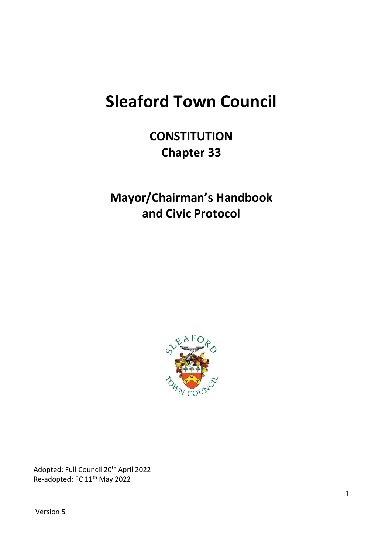# **Sleaford Town Council**

**CONSTITUTION Chapter 33**

**Mayor/Chairman's Handbook and Civic Protocol**



Adopted: Full Council 20th April 2022 Re-adopted: FC 11th May 2022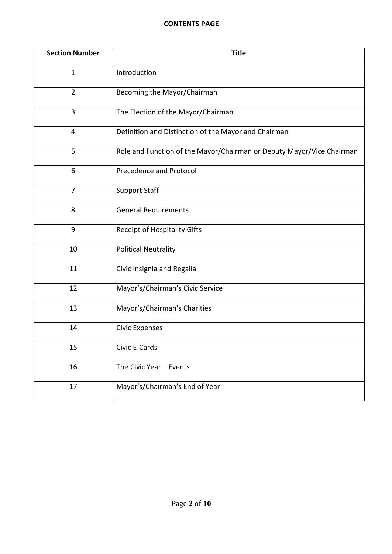#### **CONTENTS PAGE**

| <b>Section Number</b> | <b>Title</b>                                                          |
|-----------------------|-----------------------------------------------------------------------|
| $\mathbf{1}$          | Introduction                                                          |
| $\overline{2}$        | Becoming the Mayor/Chairman                                           |
| $\overline{3}$        | The Election of the Mayor/Chairman                                    |
| $\overline{4}$        | Definition and Distinction of the Mayor and Chairman                  |
| 5                     | Role and Function of the Mayor/Chairman or Deputy Mayor/Vice Chairman |
| 6                     | Precedence and Protocol                                               |
| $\overline{7}$        | <b>Support Staff</b>                                                  |
| 8                     | <b>General Requirements</b>                                           |
| 9                     | <b>Receipt of Hospitality Gifts</b>                                   |
| 10                    | <b>Political Neutrality</b>                                           |
| 11                    | Civic Insignia and Regalia                                            |
| 12                    | Mayor's/Chairman's Civic Service                                      |
| 13                    | Mayor's/Chairman's Charities                                          |
| 14                    | <b>Civic Expenses</b>                                                 |
| 15                    | Civic E-Cards                                                         |
| 16                    | The Civic Year - Events                                               |
| 17                    | Mayor's/Chairman's End of Year                                        |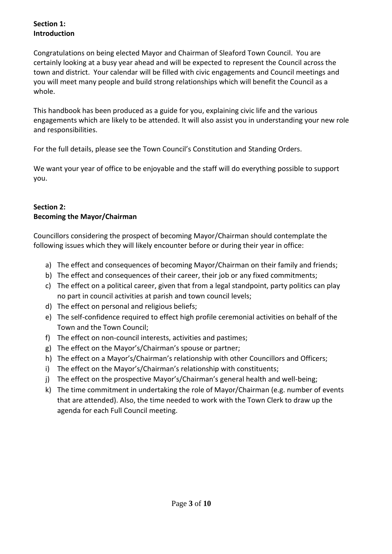#### **Section 1: Introduction**

Congratulations on being elected Mayor and Chairman of Sleaford Town Council. You are certainly looking at a busy year ahead and will be expected to represent the Council across the town and district. Your calendar will be filled with civic engagements and Council meetings and you will meet many people and build strong relationships which will benefit the Council as a whole.

This handbook has been produced as a guide for you, explaining civic life and the various engagements which are likely to be attended. It will also assist you in understanding your new role and responsibilities.

For the full details, please see the Town Council's Constitution and Standing Orders.

We want your year of office to be enjoyable and the staff will do everything possible to support you.

## **Section 2: Becoming the Mayor/Chairman**

Councillors considering the prospect of becoming Mayor/Chairman should contemplate the following issues which they will likely encounter before or during their year in office:

- a) The effect and consequences of becoming Mayor/Chairman on their family and friends;
- b) The effect and consequences of their career, their job or any fixed commitments;
- c) The effect on a political career, given that from a legal standpoint, party politics can play no part in council activities at parish and town council levels;
- d) The effect on personal and religious beliefs;
- e) The self-confidence required to effect high profile ceremonial activities on behalf of the Town and the Town Council;
- f) The effect on non-council interests, activities and pastimes;
- g) The effect on the Mayor's/Chairman's spouse or partner;
- h) The effect on a Mayor's/Chairman's relationship with other Councillors and Officers;
- i) The effect on the Mayor's/Chairman's relationship with constituents;
- j) The effect on the prospective Mayor's/Chairman's general health and well-being;
- k) The time commitment in undertaking the role of Mayor/Chairman (e.g. number of events that are attended). Also, the time needed to work with the Town Clerk to draw up the agenda for each Full Council meeting.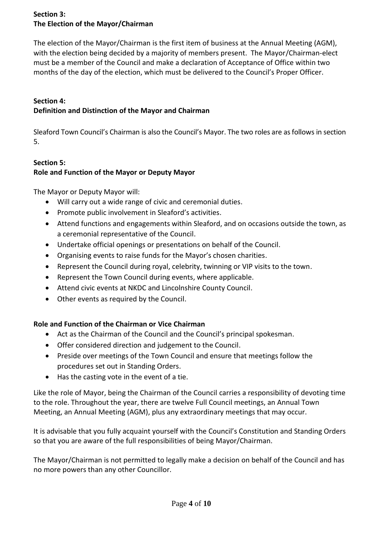## **Section 3: The Election of the Mayor/Chairman**

The election of the Mayor/Chairman is the first item of business at the Annual Meeting (AGM), with the election being decided by a majority of members present. The Mayor/Chairman-elect must be a member of the Council and make a declaration of Acceptance of Office within two months of the day of the election, which must be delivered to the Council's Proper Officer.

#### **Section 4: Definition and Distinction of the Mayor and Chairman**

Sleaford Town Council's Chairman is also the Council's Mayor. The two roles are as follows in section 5.

## **Section 5: Role and Function of the Mayor or Deputy Mayor**

The Mayor or Deputy Mayor will:

- Will carry out a wide range of civic and ceremonial duties.
- Promote public involvement in Sleaford's activities.
- Attend functions and engagements within Sleaford, and on occasions outside the town, as a ceremonial representative of the Council.
- Undertake official openings or presentations on behalf of the Council.
- Organising events to raise funds for the Mayor's chosen charities.
- Represent the Council during royal, celebrity, twinning or VIP visits to the town.
- Represent the Town Council during events, where applicable.
- Attend civic events at NKDC and Lincolnshire County Council.
- Other events as required by the Council.

# **Role and Function of the Chairman or Vice Chairman**

- Act as the Chairman of the Council and the Council's principal spokesman.
- Offer considered direction and judgement to the Council.
- Preside over meetings of the Town Council and ensure that meetings follow the procedures set out in Standing Orders.
- Has the casting vote in the event of a tie.

Like the role of Mayor, being the Chairman of the Council carries a responsibility of devoting time to the role. Throughout the year, there are twelve Full Council meetings, an Annual Town Meeting, an Annual Meeting (AGM), plus any extraordinary meetings that may occur.

It is advisable that you fully acquaint yourself with the Council's Constitution and Standing Orders so that you are aware of the full responsibilities of being Mayor/Chairman.

The Mayor/Chairman is not permitted to legally make a decision on behalf of the Council and has no more powers than any other Councillor.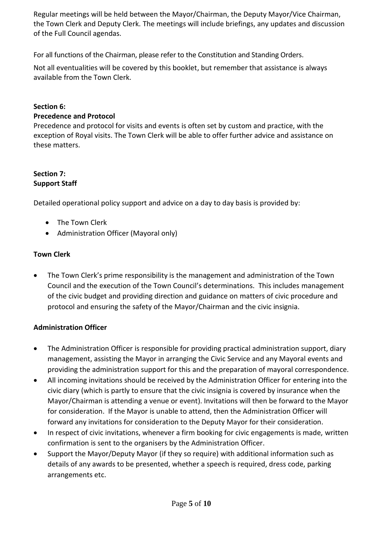Regular meetings will be held between the Mayor/Chairman, the Deputy Mayor/Vice Chairman, the Town Clerk and Deputy Clerk. The meetings will include briefings, any updates and discussion of the Full Council agendas.

For all functions of the Chairman, please refer to the Constitution and Standing Orders.

Not all eventualities will be covered by this booklet, but remember that assistance is always available from the Town Clerk.

#### **Section 6:**

#### **Precedence and Protocol**

Precedence and protocol for visits and events is often set by custom and practice, with the exception of Royal visits. The Town Clerk will be able to offer further advice and assistance on these matters.

#### **Section 7: Support Staff**

Detailed operational policy support and advice on a day to day basis is provided by:

- The Town Clerk
- Administration Officer (Mayoral only)

### **Town Clerk**

• The Town Clerk's prime responsibility is the management and administration of the Town Council and the execution of the Town Council's determinations. This includes management of the civic budget and providing direction and guidance on matters of civic procedure and protocol and ensuring the safety of the Mayor/Chairman and the civic insignia.

### **Administration Officer**

- The Administration Officer is responsible for providing practical administration support, diary management, assisting the Mayor in arranging the Civic Service and any Mayoral events and providing the administration support for this and the preparation of mayoral correspondence.
- All incoming invitations should be received by the Administration Officer for entering into the civic diary (which is partly to ensure that the civic insignia is covered by insurance when the Mayor/Chairman is attending a venue or event). Invitations will then be forward to the Mayor for consideration. If the Mayor is unable to attend, then the Administration Officer will forward any invitations for consideration to the Deputy Mayor for their consideration.
- In respect of civic invitations, whenever a firm booking for civic engagements is made, written confirmation is sent to the organisers by the Administration Officer.
- Support the Mayor/Deputy Mayor (if they so require) with additional information such as details of any awards to be presented, whether a speech is required, dress code, parking arrangements etc.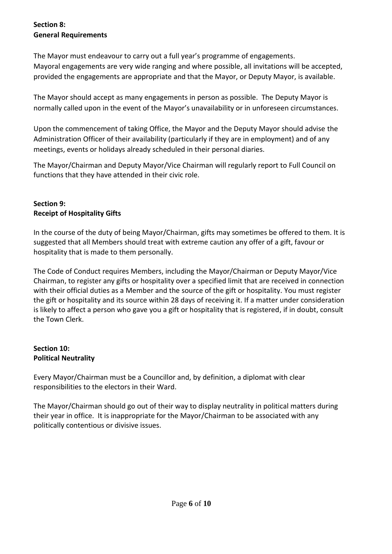## **Section 8: General Requirements**

The Mayor must endeavour to carry out a full year's programme of engagements. Mayoral engagements are very wide ranging and where possible, all invitations will be accepted, provided the engagements are appropriate and that the Mayor, or Deputy Mayor, is available.

The Mayor should accept as many engagements in person as possible. The Deputy Mayor is normally called upon in the event of the Mayor's unavailability or in unforeseen circumstances.

Upon the commencement of taking Office, the Mayor and the Deputy Mayor should advise the Administration Officer of their availability (particularly if they are in employment) and of any meetings, events or holidays already scheduled in their personal diaries.

The Mayor/Chairman and Deputy Mayor/Vice Chairman will regularly report to Full Council on functions that they have attended in their civic role.

## **Section 9: Receipt of Hospitality Gifts**

In the course of the duty of being Mayor/Chairman, gifts may sometimes be offered to them. It is suggested that all Members should treat with extreme caution any offer of a gift, favour or hospitality that is made to them personally.

The Code of Conduct requires Members, including the Mayor/Chairman or Deputy Mayor/Vice Chairman, to register any gifts or hospitality over a specified limit that are received in connection with their official duties as a Member and the source of the gift or hospitality. You must register the gift or hospitality and its source within 28 days of receiving it. If a matter under consideration is likely to affect a person who gave you a gift or hospitality that is registered, if in doubt, consult the Town Clerk.

## **Section 10: Political Neutrality**

Every Mayor/Chairman must be a Councillor and, by definition, a diplomat with clear responsibilities to the electors in their Ward.

The Mayor/Chairman should go out of their way to display neutrality in political matters during their year in office. It is inappropriate for the Mayor/Chairman to be associated with any politically contentious or divisive issues.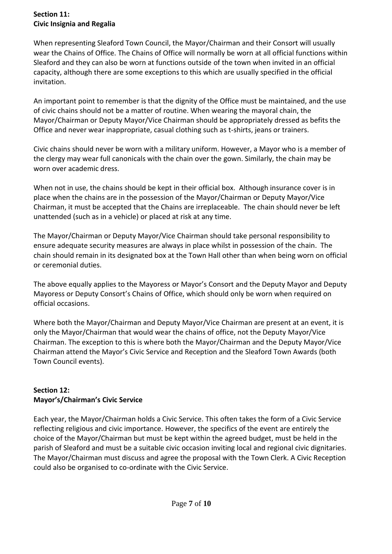## **Section 11: Civic Insignia and Regalia**

When representing Sleaford Town Council, the Mayor/Chairman and their Consort will usually wear the Chains of Office. The Chains of Office will normally be worn at all official functions within Sleaford and they can also be worn at functions outside of the town when invited in an official capacity, although there are some exceptions to this which are usually specified in the official invitation.

An important point to remember is that the dignity of the Office must be maintained, and the use of civic chains should not be a matter of routine. When wearing the mayoral chain, the Mayor/Chairman or Deputy Mayor/Vice Chairman should be appropriately dressed as befits the Office and never wear inappropriate, casual clothing such as t-shirts, jeans or trainers.

Civic chains should never be worn with a military uniform. However, a Mayor who is a member of the clergy may wear full canonicals with the chain over the gown. Similarly, the chain may be worn over academic dress.

When not in use, the chains should be kept in their official box. Although insurance cover is in place when the chains are in the possession of the Mayor/Chairman or Deputy Mayor/Vice Chairman, it must be accepted that the Chains are irreplaceable. The chain should never be left unattended (such as in a vehicle) or placed at risk at any time.

The Mayor/Chairman or Deputy Mayor/Vice Chairman should take personal responsibility to ensure adequate security measures are always in place whilst in possession of the chain. The chain should remain in its designated box at the Town Hall other than when being worn on official or ceremonial duties.

The above equally applies to the Mayoress or Mayor's Consort and the Deputy Mayor and Deputy Mayoress or Deputy Consort's Chains of Office, which should only be worn when required on official occasions.

Where both the Mayor/Chairman and Deputy Mayor/Vice Chairman are present at an event, it is only the Mayor/Chairman that would wear the chains of office, not the Deputy Mayor/Vice Chairman. The exception to this is where both the Mayor/Chairman and the Deputy Mayor/Vice Chairman attend the Mayor's Civic Service and Reception and the Sleaford Town Awards (both Town Council events).

## **Section 12: Mayor's/Chairman's Civic Service**

Each year, the Mayor/Chairman holds a Civic Service. This often takes the form of a Civic Service reflecting religious and civic importance. However, the specifics of the event are entirely the choice of the Mayor/Chairman but must be kept within the agreed budget, must be held in the parish of Sleaford and must be a suitable civic occasion inviting local and regional civic dignitaries. The Mayor/Chairman must discuss and agree the proposal with the Town Clerk. A Civic Reception could also be organised to co-ordinate with the Civic Service.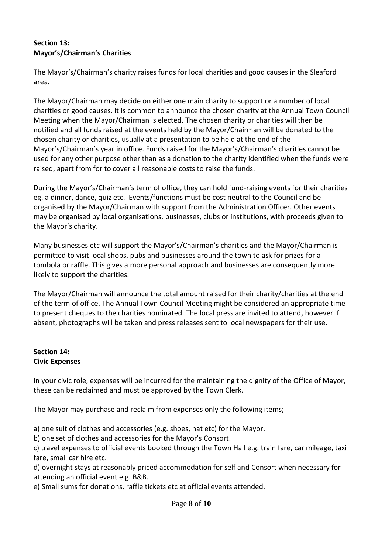#### **Section 13: Mayor's/Chairman's Charities**

The Mayor's/Chairman's charity raises funds for local charities and good causes in the Sleaford area.

The Mayor/Chairman may decide on either one main charity to support or a number of local charities or good causes. It is common to announce the chosen charity at the Annual Town Council Meeting when the Mayor/Chairman is elected. The chosen charity or charities will then be notified and all funds raised at the events held by the Mayor/Chairman will be donated to the chosen charity or charities, usually at a presentation to be held at the end of the Mayor's/Chairman's year in office. Funds raised for the Mayor's/Chairman's charities cannot be used for any other purpose other than as a donation to the charity identified when the funds were raised, apart from for to cover all reasonable costs to raise the funds.

During the Mayor's/Chairman's term of office, they can hold fund-raising events for their charities eg. a dinner, dance, quiz etc. Events/functions must be cost neutral to the Council and be organised by the Mayor/Chairman with support from the Administration Officer. Other events may be organised by local organisations, businesses, clubs or institutions, with proceeds given to the Mayor's charity.

Many businesses etc will support the Mayor's/Chairman's charities and the Mayor/Chairman is permitted to visit local shops, pubs and businesses around the town to ask for prizes for a tombola or raffle. This gives a more personal approach and businesses are consequently more likely to support the charities.

The Mayor/Chairman will announce the total amount raised for their charity/charities at the end of the term of office. The Annual Town Council Meeting might be considered an appropriate time to present cheques to the charities nominated. The local press are invited to attend, however if absent, photographs will be taken and press releases sent to local newspapers for their use.

### **Section 14: Civic Expenses**

In your civic role, expenses will be incurred for the maintaining the dignity of the Office of Mayor, these can be reclaimed and must be approved by the Town Clerk.

The Mayor may purchase and reclaim from expenses only the following items;

a) one suit of clothes and accessories (e.g. shoes, hat etc) for the Mayor.

b) one set of clothes and accessories for the Mayor's Consort.

c) travel expenses to official events booked through the Town Hall e.g. train fare, car mileage, taxi fare, small car hire etc.

d) overnight stays at reasonably priced accommodation for self and Consort when necessary for attending an official event e.g. B&B.

e) Small sums for donations, raffle tickets etc at official events attended.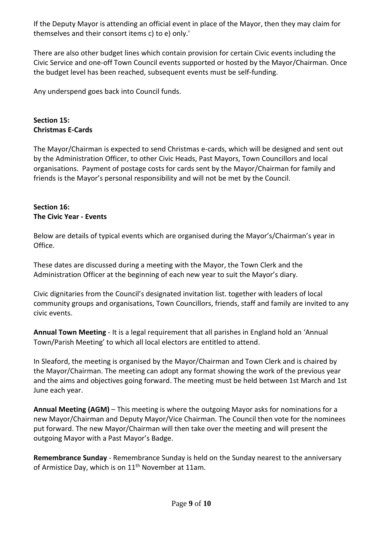If the Deputy Mayor is attending an official event in place of the Mayor, then they may claim for themselves and their consort items c) to e) only.'

There are also other budget lines which contain provision for certain Civic events including the Civic Service and one-off Town Council events supported or hosted by the Mayor/Chairman. Once the budget level has been reached, subsequent events must be self-funding.

Any underspend goes back into Council funds.

# **Section 15: Christmas E-Cards**

The Mayor/Chairman is expected to send Christmas e-cards, which will be designed and sent out by the Administration Officer, to other Civic Heads, Past Mayors, Town Councillors and local organisations. Payment of postage costs for cards sent by the Mayor/Chairman for family and friends is the Mayor's personal responsibility and will not be met by the Council.

# **Section 16: The Civic Year - Events**

Below are details of typical events which are organised during the Mayor's/Chairman's year in Office.

These dates are discussed during a meeting with the Mayor, the Town Clerk and the Administration Officer at the beginning of each new year to suit the Mayor's diary.

Civic dignitaries from the Council's designated invitation list. together with leaders of local community groups and organisations, Town Councillors, friends, staff and family are invited to any civic events.

**Annual Town Meeting** - It is a legal requirement that all parishes in England hold an 'Annual Town/Parish Meeting' to which all local electors are entitled to attend.

In Sleaford, the meeting is organised by the Mayor/Chairman and Town Clerk and is chaired by the Mayor/Chairman. The meeting can adopt any format showing the work of the previous year and the aims and objectives going forward. The meeting must be held between 1st March and 1st June each year.

**Annual Meeting (AGM)** – This meeting is where the outgoing Mayor asks for nominations for a new Mayor/Chairman and Deputy Mayor/Vice Chairman. The Council then vote for the nominees put forward. The new Mayor/Chairman will then take over the meeting and will present the outgoing Mayor with a Past Mayor's Badge.

**Remembrance Sunday** - Remembrance Sunday is held on the Sunday nearest to the anniversary of Armistice Day, which is on 11<sup>th</sup> November at 11am.